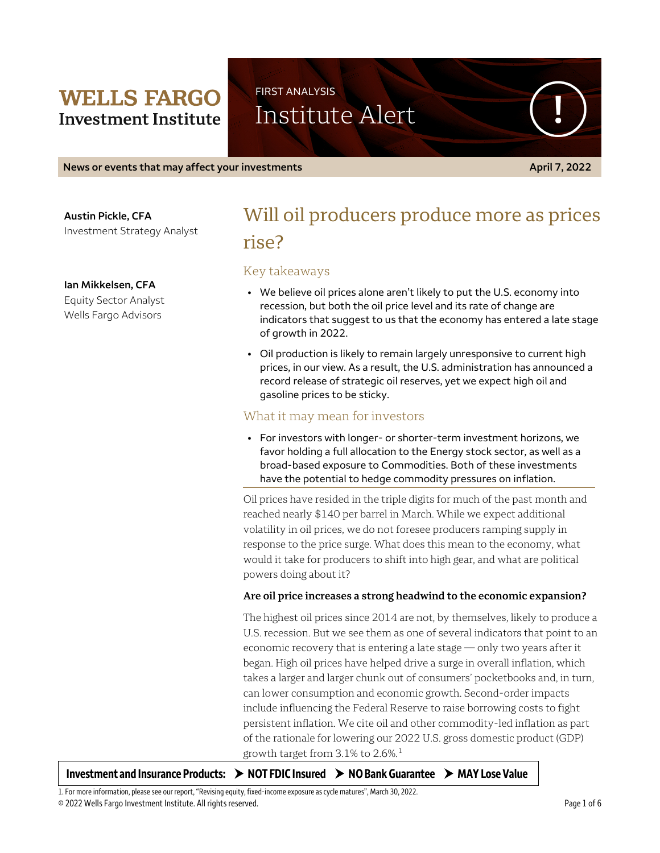# **WELLS FARGO Investment Institute**

FIRST ANALYSIS Institute Alert

**News or events that may affect your investments April 7, 2022**

**Austin Pickle, CFA** Investment Strategy Analyst

**Ian Mikkelsen, CFA**

Equity Sector Analyst Wells Fargo Advisors

# Will oil producers produce more as prices rise?

## Key takeaways

- We believe oil prices alone aren't likely to put the U.S. economy into recession, but both the oil price level and its rate of change are indicators that suggest to us that the economy has entered a late stage of growth in 2022.
- Oil production is likely to remain largely unresponsive to current high prices, in our view. As a result, the U.S. administration has announced a record release of strategic oil reserves, yet we expect high oil and gasoline prices to be sticky.

## What it may mean for investors

• For investors with longer- or shorter-term investment horizons, we favor holding a full allocation to the Energy stock sector, as well as a broad-based exposure to Commodities. Both of these investments have the potential to hedge commodity pressures on inflation.

Oil prices have resided in the triple digits for much of the past month and reached nearly \$140 per barrel in March. While we expect additional volatility in oil prices, we do not foresee producers ramping supply in response to the price surge. What does this mean to the economy, what would it take for producers to shift into high gear, and what are political powers doing about it?

### **Are oil price increases a strong headwind to the economic expansion?**

The highest oil prices since 2014 are not, by themselves, likely to produce a U.S. recession. But we see them as one of several indicators that point to an economic recovery that is entering a late stage — only two years after it began. High oil prices have helped drive a surge in overall inflation, which takes a larger and larger chunk out of consumers' pocketbooks and, in turn, can lower consumption and economic growth. Second-order impacts include influencing the Federal Reserve to raise borrowing costs to fight persistent inflation. We cite oil and other commodity-led inflation as part of the rationale for lowering our 2022 U.S. gross domestic product (GDP) growth target from  $3.1\%$  $3.1\%$  $3.1\%$  to 2.6%. $^1$ 

| Investment and Insurance Products: > NOT FDIC Insured > NO Bank Guarantee > MAY Lose Value |  |  |  |
|--------------------------------------------------------------------------------------------|--|--|--|
|--------------------------------------------------------------------------------------------|--|--|--|

<span id="page-0-0"></span>© 2022 Wells Fargo Investment Institute. All rights reserved. Page 1 of 6 1. For more information, please see our report, "Revising equity, fixed-income exposure as cycle matures", March 30, 2022.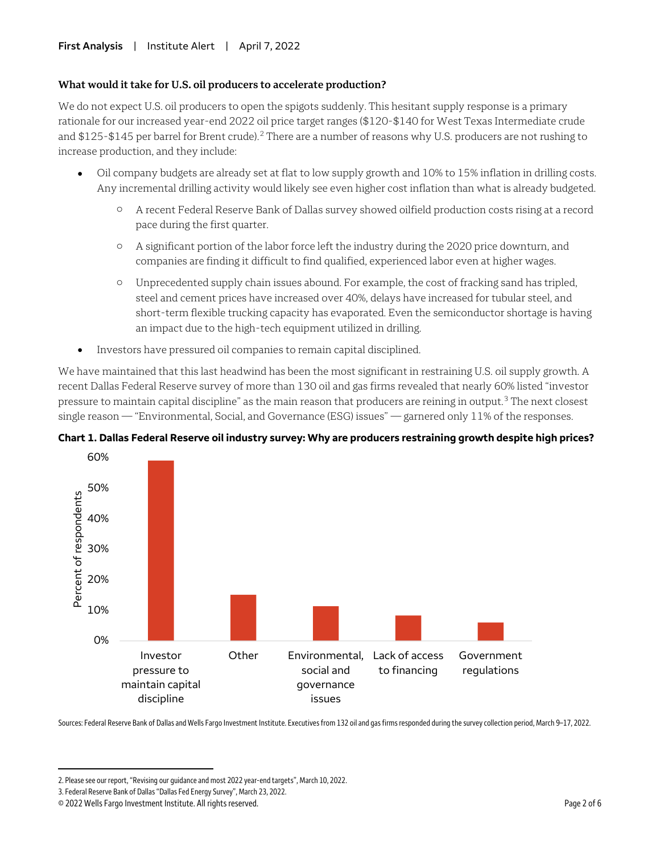#### **What would it take for U.S. oil producers to accelerate production?**

We do not expect U.S. oil producers to open the spigots suddenly. This hesitant supply response is a primary rationale for our increased year-end 2022 oil price target ranges (\$120-\$140 for West Texas Intermediate crude and \$1[2](#page-1-0)5-\$145 per barrel for Brent crude).<sup>2</sup> There are a number of reasons why U.S. producers are not rushing to increase production, and they include:

- Oil company budgets are already set at flat to low supply growth and 10% to 15% inflation in drilling costs. Any incremental drilling activity would likely see even higher cost inflation than what is already budgeted.
	- o A recent Federal Reserve Bank of Dallas survey showed oilfield production costs rising at a record pace during the first quarter.
	- o A significant portion of the labor force left the industry during the 2020 price downturn, and companies are finding it difficult to find qualified, experienced labor even at higher wages.
	- o Unprecedented supply chain issues abound. For example, the cost of fracking sand has tripled, steel and cement prices have increased over 40%, delays have increased for tubular steel, and short-term flexible trucking capacity has evaporated. Even the semiconductor shortage is having an impact due to the high-tech equipment utilized in drilling.
- Investors have pressured oil companies to remain capital disciplined.

We have maintained that this last headwind has been the most significant in restraining U.S. oil supply growth. A recent Dallas Federal Reserve survey of more than 130 oil and gas firms revealed that nearly 60% listed "investor pressure to maintain capital discipline" as the main reason that producers are reining in output.[3](#page-1-1) The next closest single reason — "Environmental, Social, and Governance (ESG) issues" — garnered only 11% of the responses.





Sources: Federal Reserve Bank of Dallas and Wells Fargo Investment Institute. Executives from 132 oil and gas firms responded during the survey collection period, March 9–17, 2022.

 $\overline{a}$ 

<span id="page-1-0"></span><sup>2.</sup> Please see our report, "Revising our guidance and most 2022 year-end targets", March 10, 2022.

<span id="page-1-1"></span><sup>3.</sup> Federal Reserve Bank of Dallas "Dallas Fed Energy Survey", March 23, 2022.

<sup>© 2022</sup> Wells Fargo Investment Institute. All rights reserved. Page 2 of 6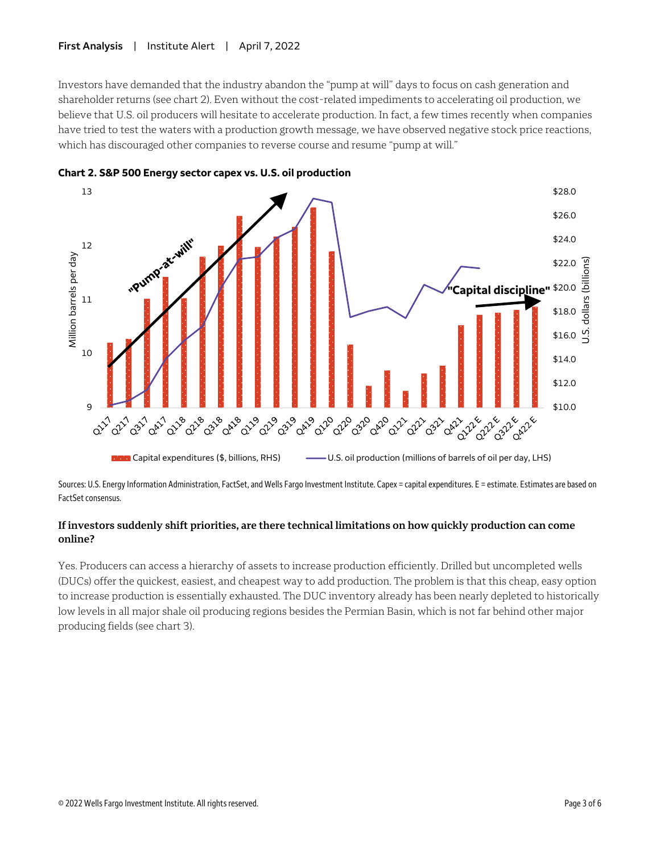#### **First Analysis** | Institute Alert | April 7, 2022

Investors have demanded that the industry abandon the "pump at will" days to focus on cash generation and shareholder returns (see chart 2). Even without the cost-related impediments to accelerating oil production, we believe that U.S. oil producers will hesitate to accelerate production. In fact, a few times recently when companies have tried to test the waters with a production growth message, we have observed negative stock price reactions, which has discouraged other companies to reverse course and resume "pump at will."





Sources: U.S. Energy Information Administration, FactSet, and Wells Fargo Investment Institute. Capex = capital expenditures. E = estimate. Estimates are based on FactSet consensus.

## **If investors suddenly shift priorities, are there technical limitations on how quickly production can come online?**

Yes. Producers can access a hierarchy of assets to increase production efficiently. Drilled but uncompleted wells (DUCs) offer the quickest, easiest, and cheapest way to add production. The problem is that this cheap, easy option to increase production is essentially exhausted. The DUC inventory already has been nearly depleted to historically low levels in all major shale oil producing regions besides the Permian Basin, which is not far behind other major producing fields (see chart 3).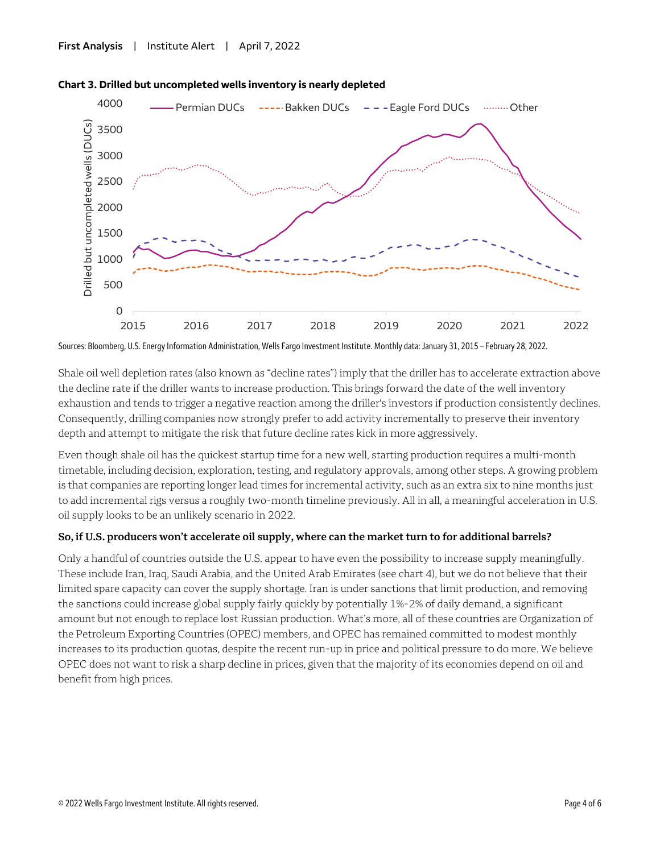



Sources: Bloomberg, U.S. Energy Information Administration, Wells Fargo Investment Institute. Monthly data: January 31, 2015 – February 28, 2022.

Shale oil well depletion rates (also known as "decline rates") imply that the driller has to accelerate extraction above the decline rate if the driller wants to increase production. This brings forward the date of the well inventory exhaustion and tends to trigger a negative reaction among the driller's investors if production consistently declines. Consequently, drilling companies now strongly prefer to add activity incrementally to preserve their inventory depth and attempt to mitigate the risk that future decline rates kick in more aggressively.

Even though shale oil has the quickest startup time for a new well, starting production requires a multi-month timetable, including decision, exploration, testing, and regulatory approvals, among other steps. A growing problem is that companies are reporting longer lead times for incremental activity, such as an extra six to nine months just to add incremental rigs versus a roughly two-month timeline previously. All in all, a meaningful acceleration in U.S. oil supply looks to be an unlikely scenario in 2022.

#### **So, if U.S. producers won't accelerate oil supply, where can the market turn to for additional barrels?**

Only a handful of countries outside the U.S. appear to have even the possibility to increase supply meaningfully. These include Iran, Iraq, Saudi Arabia, and the United Arab Emirates (see chart 4), but we do not believe that their limited spare capacity can cover the supply shortage. Iran is under sanctions that limit production, and removing the sanctions could increase global supply fairly quickly by potentially 1%-2% of daily demand, a significant amount but not enough to replace lost Russian production. What's more, all of these countries are Organization of the Petroleum Exporting Countries (OPEC) members, and OPEC has remained committed to modest monthly increases to its production quotas, despite the recent run-up in price and political pressure to do more. We believe OPEC does not want to risk a sharp decline in prices, given that the majority of its economies depend on oil and benefit from high prices.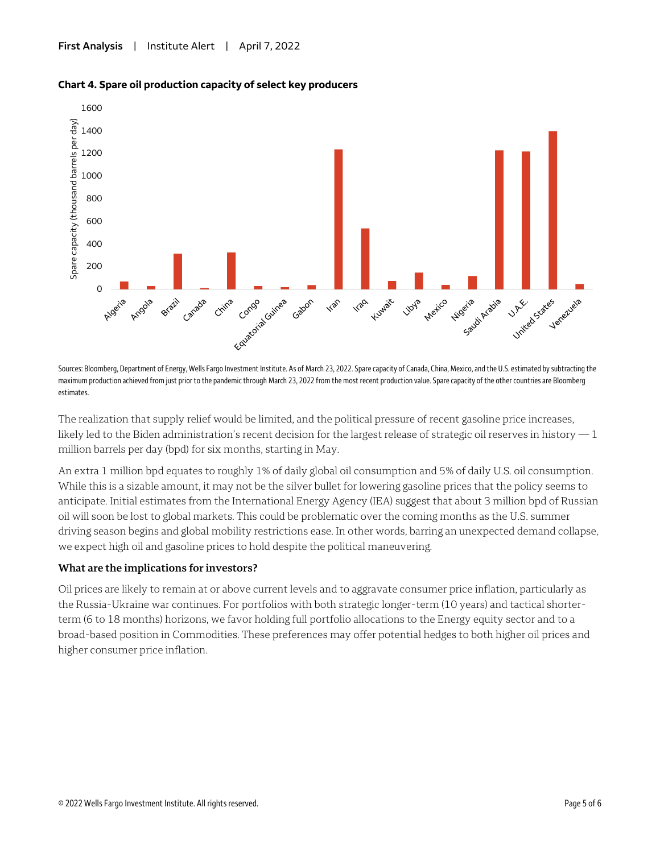



Sources: Bloomberg, Department of Energy, Wells Fargo Investment Institute. As of March 23, 2022. Spare capacity of Canada, China, Mexico, and the U.S. estimated by subtracting the maximum production achieved from just prior to the pandemic through March 23, 2022 from the most recent production value. Spare capacity of the other countries are Bloomberg estimates.

The realization that supply relief would be limited, and the political pressure of recent gasoline price increases, likely led to the Biden administration's recent decision for the largest release of strategic oil reserves in history  $-1$ million barrels per day (bpd) for six months, starting in May.

An extra 1 million bpd equates to roughly 1% of daily global oil consumption and 5% of daily U.S. oil consumption. While this is a sizable amount, it may not be the silver bullet for lowering gasoline prices that the policy seems to anticipate. Initial estimates from the International Energy Agency (IEA) suggest that about 3 million bpd of Russian oil will soon be lost to global markets. This could be problematic over the coming months as the U.S. summer driving season begins and global mobility restrictions ease. In other words, barring an unexpected demand collapse, we expect high oil and gasoline prices to hold despite the political maneuvering.

### **What are the implications for investors?**

Oil prices are likely to remain at or above current levels and to aggravate consumer price inflation, particularly as the Russia-Ukraine war continues. For portfolios with both strategic longer-term (10 years) and tactical shorterterm (6 to 18 months) horizons, we favor holding full portfolio allocations to the Energy equity sector and to a broad-based position in Commodities. These preferences may offer potential hedges to both higher oil prices and higher consumer price inflation.